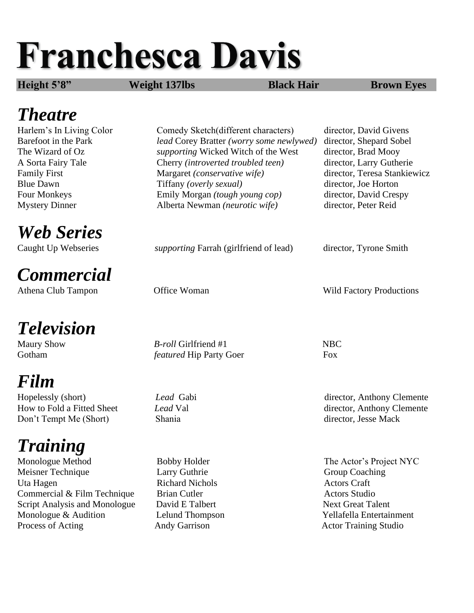# **Franchesca Davis**

**Height 5'8" Weight 137lbs Black Hair Brown Eyes**

#### *Theatre*

*Web Series*

### *Commercial*

## *Television*

### *Film*

Don't Tempt Me (Short) Shania director, Jesse Mack

# *Training*

Monologue Method Bobby Holder The Actor's Project NYC Meisner Technique Larry Guthrie Group Coaching Uta Hagen Richard Nichols Actors Craft Commercial & Film Technique Brian Cutler **Actors** Studio Script Analysis and Monologue David E Talbert Next Great Talent Monologue & Audition Lelund Thompson Tellafella Entertainment Process of Acting **Andy Garrison** Andy Garrison **Actor Training Studio** 

Harlem's In Living Color Comedy Sketch(different characters) director, David Givens Barefoot in the Park *lead* Corey Bratter *(worry some newlywed)* director, Shepard Sobel The Wizard of Oz *supporting* Wicked Witch of the West director, Brad Mooy A Sorta Fairy Tale Cherry *(introverted troubled teen)* director, Larry Gutherie Family First Margaret *(conservative wife)* director, Teresa Stankiewicz Blue Dawn Tiffany *(overly sexual)* director, Joe Horton Four Monkeys Emily Morgan *(tough young cop)* director, David Crespy Mystery Dinner Alberta Newman *(neurotic wife)* director, Peter Reid

Caught Up Webseries *supporting* Farrah (girlfriend of lead) director, Tyrone Smith

Maury Show *B-roll* Girlfriend #1 NBC Gotham *featured* Hip Party Goer Fox

Athena Club Tampon **Office Woman** Wild Factory Productions

Hopelessly (short) *Lead* Gabi director, Anthony Clemente How to Fold a Fitted Sheet *Lead* Val director, Anthony Clemente